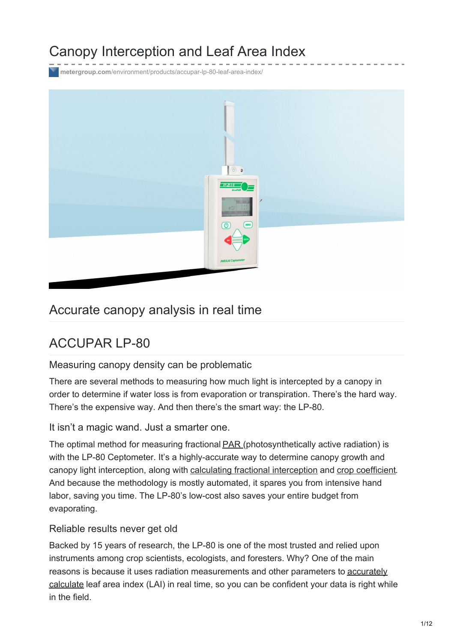# Canopy Interception and Leaf Area Index

**metergroup.com**[/environment/products/accupar-lp-80-leaf-area-index/](https://www.metergroup.com/environment/products/accupar-lp-80-leaf-area-index/)



# Accurate canopy analysis in real time

# ACCUPAR LP-80

Measuring canopy density can be problematic

There are several methods to measuring how much light is intercepted by a canopy in order to determine if water loss is from evaporation or transpiration. There's the hard way. There's the expensive way. And then there's the smart way: the LP-80.

It isn't a magic wand. Just a smarter one.

The optimal method for measuring fractional **[PAR](https://www.metergroup.com/meter_knowledgebase/why-measure-par/)** (photosynthetically active radiation) is with the LP-80 Ceptometer. It's a highly-accurate way to determine canopy growth and canopy light interception, along with calculating fractional [interception](https://www.metergroup.com/environment/articles/beam-fraction-calculation/) and crop [coefficient](https://www.metergroup.com/meter_knowledgebase/how-use-par-efficient-irrigation/). And because the methodology is mostly automated, it spares you from intensive hand labor, saving you time. The LP-80's low-cost also saves your entire budget from evaporating.

#### Reliable results never get old

Backed by 15 years of research, the LP-80 is one of the most trusted and relied upon instruments among crop scientists, ecologists, and foresters. Why? One of the main reasons is because it uses radiation [measurements](https://www.metergroup.com/environment/articles/lp-80-how-accurate-is-it/) and other parameters to accurately calculate leaf area index (LAI) in real time, so you can be confident your data is right while in the field.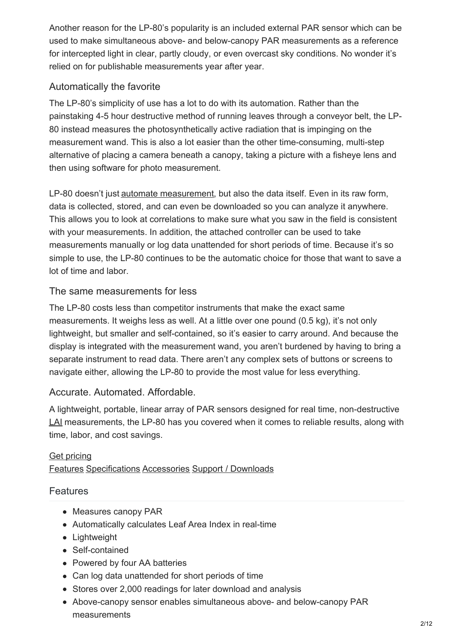Another reason for the LP-80's popularity is an included external PAR sensor which can be used to make simultaneous above- and below-canopy PAR measurements as a reference for intercepted light in clear, partly cloudy, or even overcast sky conditions. No wonder it's relied on for publishable measurements year after year.

### Automatically the favorite

The LP-80's simplicity of use has a lot to do with its automation. Rather than the painstaking 4-5 hour destructive method of running leaves through a conveyor belt, the LP-80 instead measures the photosynthetically active radiation that is impinging on the measurement wand. This is also a lot easier than the other time-consuming, multi-step alternative of placing a camera beneath a canopy, taking a picture with a fisheye lens and then using software for photo measurement.

LP-80 doesn't just automate [measurement](https://www.metergroup.com/environment/articles/lp80-pain-free-leaf-area-index/), but also the data itself. Even in its raw form, data is collected, stored, and can even be downloaded so you can analyze it anywhere. This allows you to look at correlations to make sure what you saw in the field is consistent with your measurements. In addition, the attached controller can be used to take measurements manually or log data unattended for short periods of time. Because it's so simple to use, the LP-80 continues to be the automatic choice for those that want to save a lot of time and labor.

#### The same measurements for less

The LP-80 costs less than competitor instruments that make the exact same measurements. It weighs less as well. At a little over one pound (0.5 kg), it's not only lightweight, but smaller and self-contained, so it's easier to carry around. And because the display is integrated with the measurement wand, you aren't burdened by having to bring a separate instrument to read data. There aren't any complex sets of buttons or screens to navigate either, allowing the LP-80 to provide the most value for less everything.

#### Accurate. Automated. Affordable.

A lightweight, portable, linear array of PAR sensors designed for real time, non-destructive [LAI](https://www.metergroup.com/environment/articles/lai-theory-practice/) measurements, the LP-80 has you covered when it comes to reliable results, along with time, labor, and cost savings.

#### Get [pricing](https://www.metergroup.com/request-a-quote/?prod=ACCUPAR LP-80) [Features](#page-1-0) [Specifications](#page-2-0) [Accessories](#page-4-0) Support / [Downloads](#page-8-0)

#### <span id="page-1-0"></span>**Features**

- Measures canopy PAR
- Automatically calculates Leaf Area Index in real-time
- Lightweight
- Self-contained
- Powered by four AA batteries
- Can log data unattended for short periods of time
- Stores over 2,000 readings for later download and analysis
- Above-canopy sensor enables simultaneous above- and below-canopy PAR measurements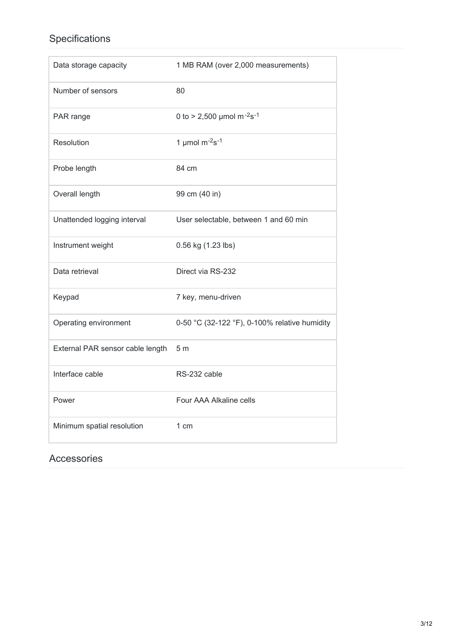# <span id="page-2-0"></span>Specifications

| Data storage capacity            | 1 MB RAM (over 2,000 measurements)                |
|----------------------------------|---------------------------------------------------|
| Number of sensors                | 80                                                |
| PAR range                        | 0 to > 2,500 µmol m <sup>-2</sup> s <sup>-1</sup> |
| Resolution                       | 1 µmol $\mathrm{m}$ <sup>-2</sup> s <sup>-1</sup> |
| Probe length                     | 84 cm                                             |
| Overall length                   | 99 cm (40 in)                                     |
| Unattended logging interval      | User selectable, between 1 and 60 min             |
| Instrument weight                | 0.56 kg (1.23 lbs)                                |
| Data retrieval                   | Direct via RS-232                                 |
| Keypad                           | 7 key, menu-driven                                |
| Operating environment            | 0-50 °C (32-122 °F), 0-100% relative humidity     |
| External PAR sensor cable length | 5 <sub>m</sub>                                    |
| Interface cable                  | RS-232 cable                                      |
| Power                            | Four AAA Alkaline cells                           |
| Minimum spatial resolution       | 1 cm                                              |

## Accessories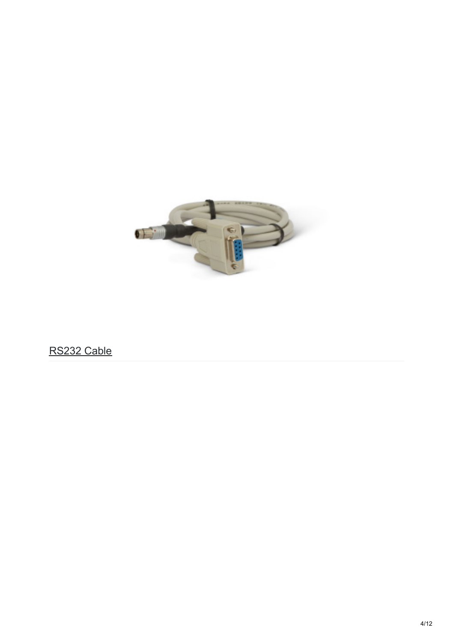

RS232 Cable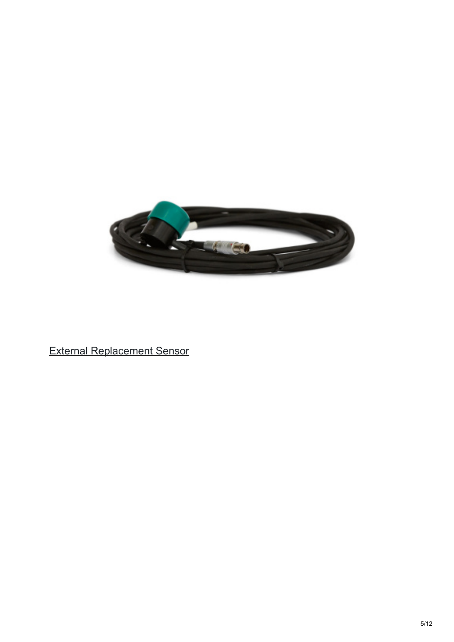<span id="page-4-0"></span>

External Replacement Sensor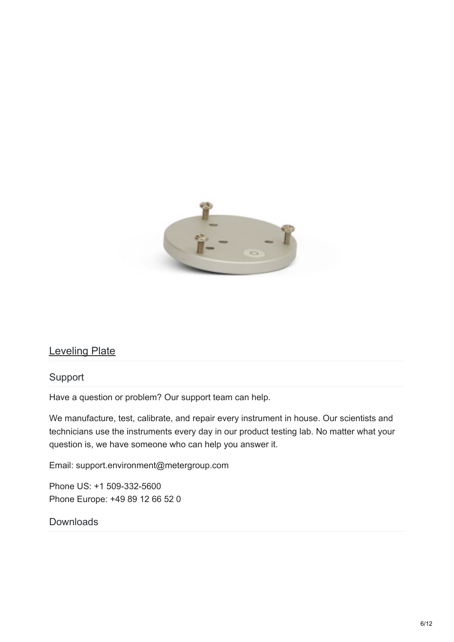

## Leveling Plate

#### Support

Have a question or problem? Our support team can help.

We manufacture, test, calibrate, and repair every instrument in house. Our scientists and technicians use the instruments every day in our product testing lab. No matter what your question is, we have someone who can help you answer it.

Email: support.environment@metergroup.com

Phone US: +1 509-332-5600 Phone Europe: +49 89 12 66 52 0

#### **Downloads**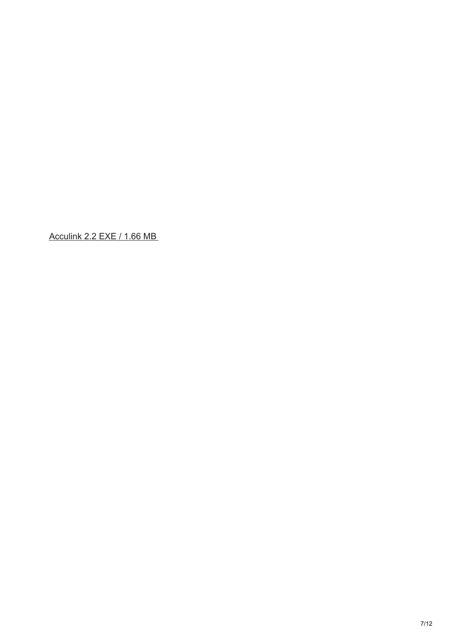[Acculink](http://software.metergroup.com/AccuLink22.exe) 2.2 EXE / 1.66 MB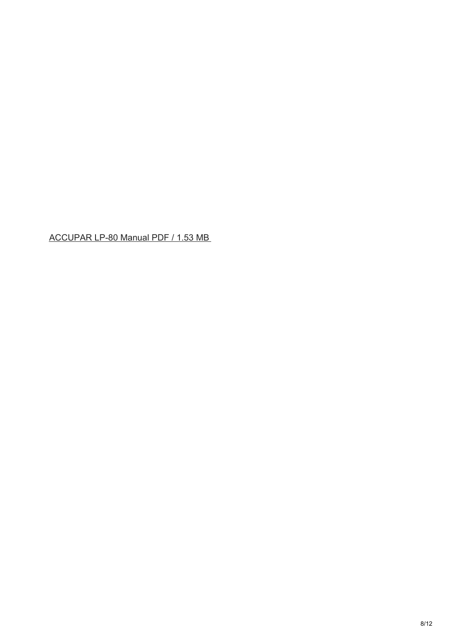[ACCUPAR](http://library.metergroup.com/Manuals/10242_Accupar LP80_Web.pdf) LP-80 Manual PDF / 1.53 MB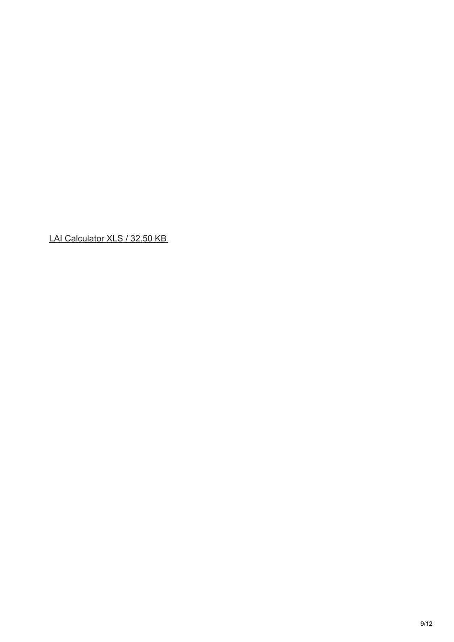<span id="page-8-0"></span>LAI [Calculator](http://library.metergroup.com/Support/LAI-Calculator.xls) XLS / 32.50 KB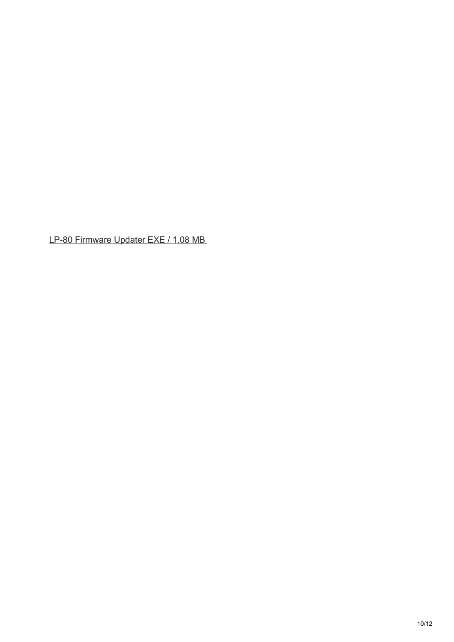LP-80 [Firmware](http://software.metergroup.com/updaters/LP-80-R2-00-Updater.exe) Updater EXE / 1.08 MB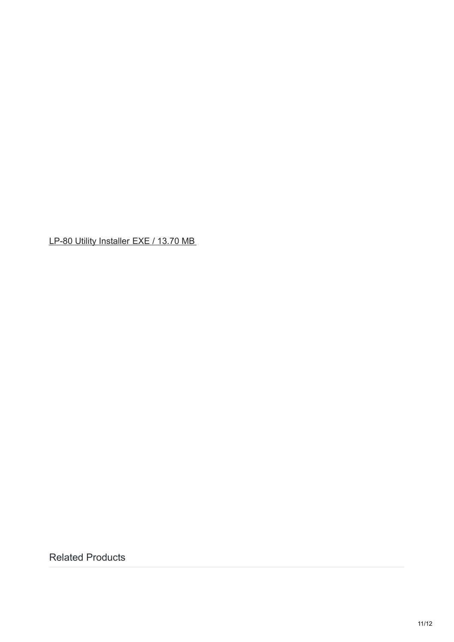LP-80 Utility [Installer](http://software.metergroup.com/LP-80 Utility installer v1.4.exe) EXE / 13.70 MB

Related Products